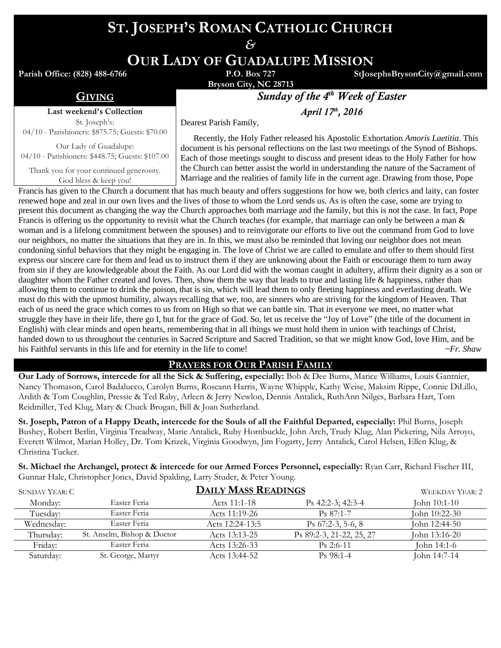# **ST. JOSEPH'S ROMAN CATHOLIC CHURCH**

*&*

**OUR LADY OF GUADALUPE MISSION**

**Parish Office: (828) 488-6766** 

**Bryson City, NC 28713**

**StJosephsBrysonCity@gmail.com**

Last weekend's Collection

St. Joseph's: 04/10 - Parishioners: \$875.75; Guests: \$70.00

Our Lady of Guadalupe: 04/10 - Parishioners: \$448.75; Guests: \$107.00

Thank you for your continued generosity. God bless & keep you!

**GIVING** *Sunday of the 4<sup>th</sup> Week of Easter* 

*th , 2016*

Dearest Parish Family,

 Recently, the Holy Father released his Apostolic Exhortation *Amoris Laetitia*. This document is his personal reflections on the last two meetings of the Synod of Bishops. Each of those meetings sought to discuss and present ideas to the Holy Father for how the Church can better assist the world in understanding the nature of the Sacrament of Marriage and the realities of family life in the current age. Drawing from those, Pope

Francis has given to the Church a document that has much beauty and offers suggestions for how we, both clerics and laity, can foster renewed hope and zeal in our own lives and the lives of those to whom the Lord sends us. As is often the case, some are trying to present this document as changing the way the Church approaches both marriage and the family, but this is not the case. In fact, Pope Francis is offering us the opportunity to revisit what the Church teaches (for example, that marriage can only be between a man  $\&$ woman and is a lifelong commitment between the spouses) and to reinvigorate our efforts to live out the command from God to love our neighbors, no matter the situations that they are in. In this, we must also be reminded that loving our neighbor does not mean condoning sinful behaviors that they might be engaging in. The love of Christ we are called to emulate and offer to them should first express our sincere care for them and lead us to instruct them if they are unknowing about the Faith or encourage them to turn away from sin if they are knowledgeable about the Faith. As our Lord did with the woman caught in adultery, affirm their dignity as a son or daughter whom the Father created and loves. Then, show them the way that leads to true and lasting life & happiness, rather than allowing them to continue to drink the poison, that is sin, which will lead them to only fleeting happiness and everlasting death. We must do this with the upmost humility, always recalling that we, too, are sinners who are striving for the kingdom of Heaven. That each of us need the grace which comes to us from on High so that we can battle sin. That in everyone we meet, no matter what struggle they have in their life, there go I, but for the grace of God. So, let us receive the "Joy of Love" (the title of the document in English) with clear minds and open hearts, remembering that in all things we must hold them in union with teachings of Christ, handed down to us throughout the centuries in Sacred Scripture and Sacred Tradition, so that we might know God, love Him, and be his Faithful servants in this life and for eternity in the life to come! *~Fr. Shaw*

### **PRAYERS FOR OUR PARISH FAMILY**

**Our Lady of Sorrows, intercede for all the Sick & Suffering, especially:** Bob & Dee Burns, Marice Williams, Louis Gantnier, Nancy Thomason, Carol Badalucco, Carolyn Burns, Roseann Harris, Wayne Whipple, Kathy Weise, Maksim Rippe, Connie DiLillo, Ardith & Tom Coughlin, Pressie & Ted Raby, Arleen & Jerry Newlon, Dennis Antalick, RuthAnn Nilges, Barbara Hart, Tom Reidmiller, Ted Klug, Mary & Chuck Brogan, Bill & Joan Sutherland.

**St. Joseph, Patron of a Happy Death, intercede for the Souls of all the Faithful Departed, especially:** Phil Burns, Joseph Bushey, Robert Berlin, Virginia Treadway, Marie Antalick, Ruby Hornbuckle, John Arch, Trudy Klug, Alan Pickering, Nila Arroyo, Everett Wilmot, Marian Holley, Dr. Tom Krizek, Virginia Goodwyn, Jim Fogarty, Jerry Antalick, Carol Helsen, Ellen Klug, & Christina Tucker.

**St. Michael the Archangel, protect & intercede for our Armed Forces Personnel, especially:** Ryan Carr, Richard Fischer III, Gunnar Hale, Christopher Jones, David Spalding, Larry Studer, & Peter Young.

| SUNDAY YEAR: C |                             | <b>DAILY MASS READINGS</b> |                          | WEEKDAY YEAR: 2 |
|----------------|-----------------------------|----------------------------|--------------------------|-----------------|
| Monday:        | Easter Feria                | Acts 11:1-18               | $Ps$ 42:2-3; 42:3-4      | John 10:1-10    |
| Tuesdav:       | Easter Feria                | Acts 11:19-26              | $Ps 87:1-7$              | John 10:22-30   |
| Wednesdav:     | Easter Feria                | Acts 12:24-13:5            | Ps $67:2-3$ , 5-6, 8     | John 12:44-50   |
| Thursday:      | St. Anselm, Bishop & Doctor | Acts 13:13-25              | Ps 89:2-3, 21-22, 25, 27 | John 13:16-20   |
| Fridav:        | Easter Feria                | Acts 13:26-33              | $Ps$ 2:6-11              | John 14:1-6     |
| Saturday:      | St. George, Martyr          | Acts 13:44-52              | $Ps$ 98:1-4              | John 14:7-14    |